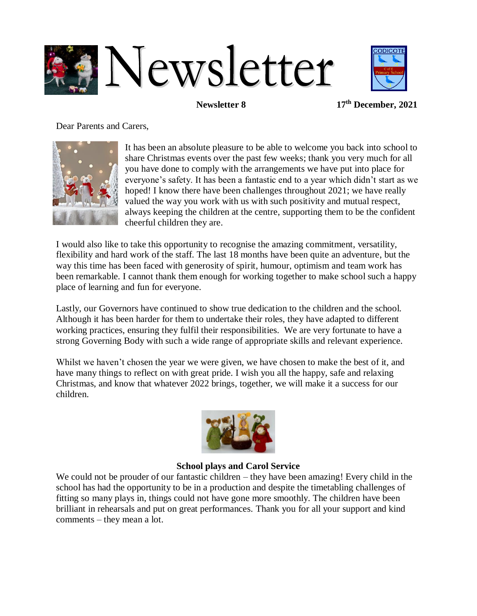



**Newsletter 8 17th December, 2021** 

Dear Parents and Carers,



It has been an absolute pleasure to be able to welcome you back into school to share Christmas events over the past few weeks; thank you very much for all you have done to comply with the arrangements we have put into place for everyone's safety. It has been a fantastic end to a year which didn't start as we hoped! I know there have been challenges throughout 2021; we have really valued the way you work with us with such positivity and mutual respect, always keeping the children at the centre, supporting them to be the confident cheerful children they are.

I would also like to take this opportunity to recognise the amazing commitment, versatility, flexibility and hard work of the staff. The last 18 months have been quite an adventure, but the way this time has been faced with generosity of spirit, humour, optimism and team work has been remarkable. I cannot thank them enough for working together to make school such a happy place of learning and fun for everyone.

Lastly, our Governors have continued to show true dedication to the children and the school. Although it has been harder for them to undertake their roles, they have adapted to different working practices, ensuring they fulfil their responsibilities. We are very fortunate to have a strong Governing Body with such a wide range of appropriate skills and relevant experience.

Whilst we haven't chosen the year we were given, we have chosen to make the best of it, and have many things to reflect on with great pride. I wish you all the happy, safe and relaxing Christmas, and know that whatever 2022 brings, together, we will make it a success for our children.



#### **School plays and Carol Service**

We could not be prouder of our fantastic children – they have been amazing! Every child in the school has had the opportunity to be in a production and despite the timetabling challenges of fitting so many plays in, things could not have gone more smoothly. The children have been brilliant in rehearsals and put on great performances. Thank you for all your support and kind comments – they mean a lot.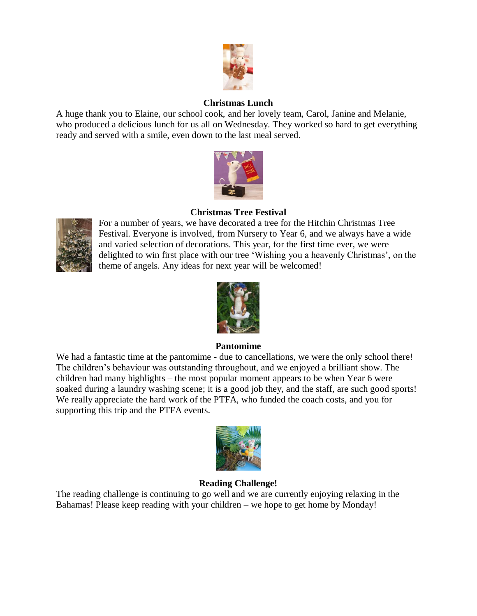

### **Christmas Lunch**

A huge thank you to Elaine, our school cook, and her lovely team, Carol, Janine and Melanie, who produced a delicious lunch for us all on Wednesday. They worked so hard to get everything ready and served with a smile, even down to the last meal served.



# **Christmas Tree Festival**



For a number of years, we have decorated a tree for the Hitchin Christmas Tree Festival. Everyone is involved, from Nursery to Year 6, and we always have a wide and varied selection of decorations. This year, for the first time ever, we were delighted to win first place with our tree 'Wishing you a heavenly Christmas', on the theme of angels. Any ideas for next year will be welcomed!



### **Pantomime**

We had a fantastic time at the pantomime - due to cancellations, we were the only school there! The children's behaviour was outstanding throughout, and we enjoyed a brilliant show. The children had many highlights – the most popular moment appears to be when Year 6 were soaked during a laundry washing scene; it is a good job they, and the staff, are such good sports! We really appreciate the hard work of the PTFA, who funded the coach costs, and you for supporting this trip and the PTFA events.



# **Reading Challenge!**

The reading challenge is continuing to go well and we are currently enjoying relaxing in the Bahamas! Please keep reading with your children – we hope to get home by Monday!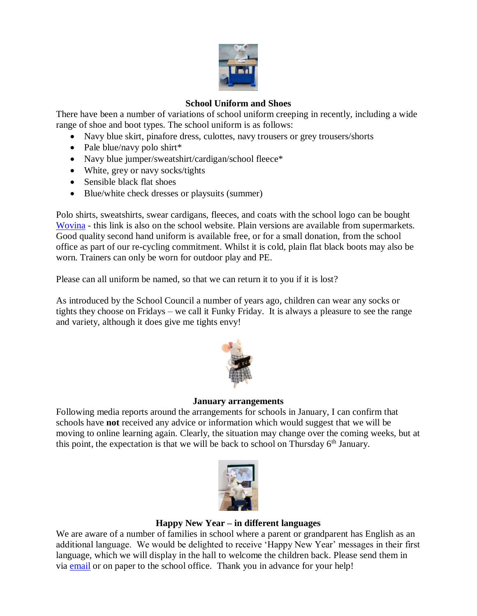

### **School Uniform and Shoes**

There have been a number of variations of school uniform creeping in recently, including a wide range of shoe and boot types. The school uniform is as follows:

- Navy blue skirt, pinafore dress, culottes, navy trousers or grey trousers/shorts
- Pale blue/navy polo shirt\*
- Navy blue jumper/sweatshirt/cardigan/school fleece\*
- White, grey or navy socks/tights
- Sensible black flat shoes
- Blue/white check dresses or playsuits (summer)

Polo shirts, sweatshirts, swear cardigans, fleeces, and coats with the school logo can be bought [Wovina](https://www.wovina.com/collections/codicote-primary-school) - this link is also on the school website. Plain versions are available from supermarkets. Good quality second hand uniform is available free, or for a small donation, from the school office as part of our re-cycling commitment. Whilst it is cold, plain flat black boots may also be worn. Trainers can only be worn for outdoor play and PE.

Please can all uniform be named, so that we can return it to you if it is lost?

As introduced by the School Council a number of years ago, children can wear any socks or tights they choose on Fridays – we call it Funky Friday. It is always a pleasure to see the range and variety, although it does give me tights envy!



### **January arrangements**

Following media reports around the arrangements for schools in January, I can confirm that schools have **not** received any advice or information which would suggest that we will be moving to online learning again. Clearly, the situation may change over the coming weeks, but at this point, the expectation is that we will be back to school on Thursday  $6<sup>th</sup>$  January.



### **Happy New Year – in different languages**

We are aware of a number of families in school where a parent or grandparent has English as an additional language. We would be delighted to receive 'Happy New Year' messages in their first language, which we will display in the hall to welcome the children back. Please send them in via **email** or on paper to the school office. Thank you in advance for your help!